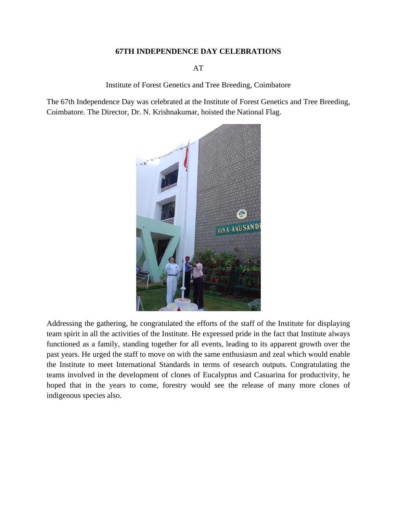## **67TH INDEPENDENCE DAY CELEBRATIONS**

AT

Institute of Forest Genetics and Tree Breeding, Coimbatore

The 67th Independence Day was celebrated at the Institute of Forest Genetics and Tree Breeding, Coimbatore. The Director, Dr. N. Krishnakumar, hoisted the National Flag.



Addressing the gathering, he congratulated the efforts of the staff of the Institute for displaying team spirit in all the activities of the Institute. He expressed pride in the fact that Institute always functioned as a family, standing together for all events, leading to its apparent growth over the past years. He urged the staff to move on with the same enthusiasm and zeal which would enable the Institute to meet International Standards in terms of research outputs. Congratulating the teams involved in the development of clones of Eucalyptus and Casuarina for productivity, he hoped that in the years to come, forestry would see the release of many more clones of indigenous species also.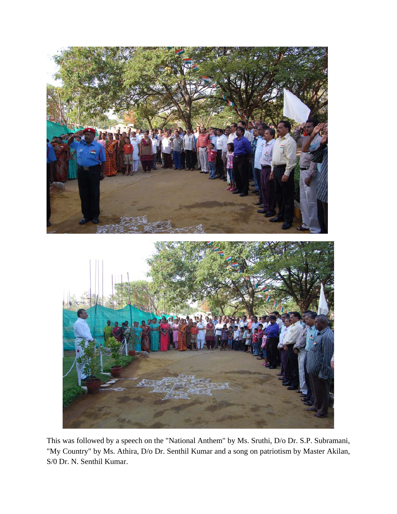

This was followed by a speech on the "National Anthem" by Ms. Sruthi, D/o Dr. S.P. Subramani, "My Country" by Ms. Athira, D/o Dr. Senthil Kumar and a song on patriotism by Master Akilan, S/0 Dr. N. Senthil Kumar.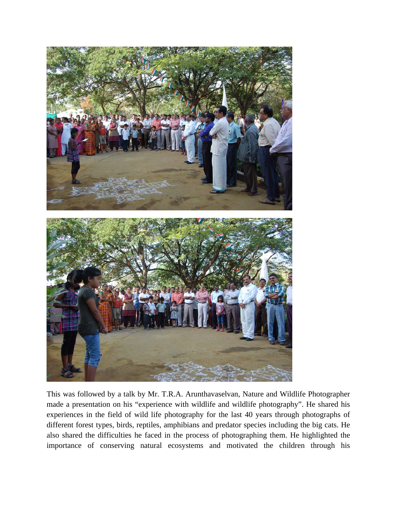

This was followed by a talk by Mr. T.R.A. Arunthavaselvan, Nature and Wildlife Photographer made a presentation on his "experience with wildlife and wildlife photography". He shared his experiences in the field of wild life photography for the last 40 years through photographs of different forest types, birds, reptiles, amphibians and predator species including the big cats. He also shared the difficulties he faced in the process of photographing them. He highlighted the importance of conserving natural ecosystems and motivated the children through his